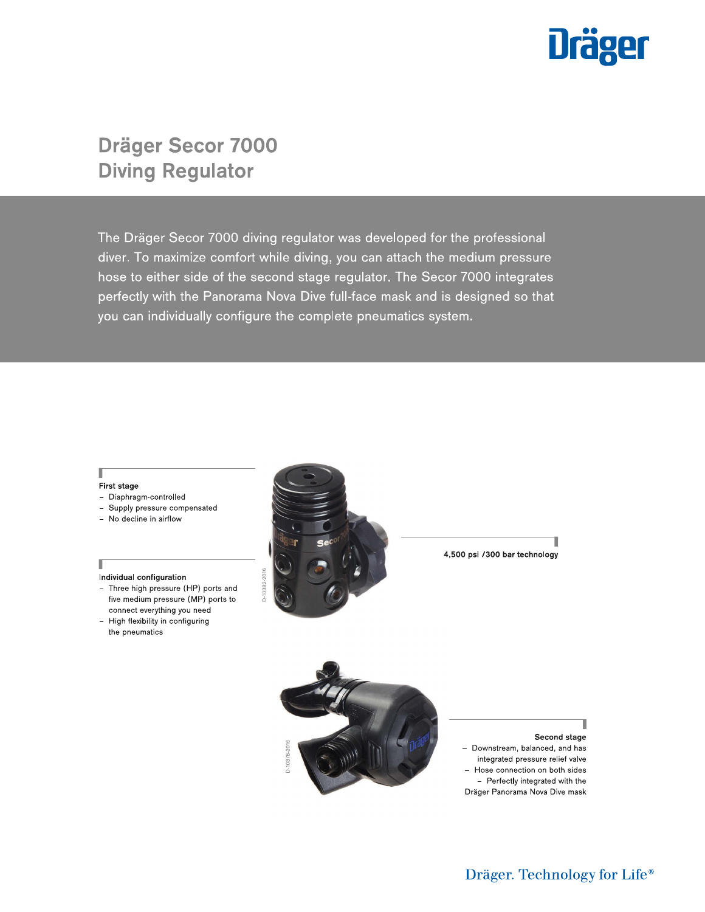

# **Dräger Secor 7000 Diving Regulator**

The Dräger Secor 7000 diving regulator was developed for the professional diver. To maximize comfort while diving, you can attach the medium pressure hose to either side of the second stage regulator. The Secor 7000 integrates perfectly with the Panorama Nova Dive full-face mask and is designed so that you can individually configure the complete pneumatics system.

#### First stage

Π

Г

- Diaphragm-controlled
- Supply pressure compensated
- No decline in airflow

#### Individual configuration

- Three high pressure (HP) ports and five medium pressure (MP) ports to connect everything you need
- High flexibility in configuring the pneumatics



4,500 psi /300 bar technology



Second stage - Downstream, balanced, and has integrated pressure relief valve - Hose connection on both sides - Perfectly integrated with the Dräger Panorama Nova Dive mask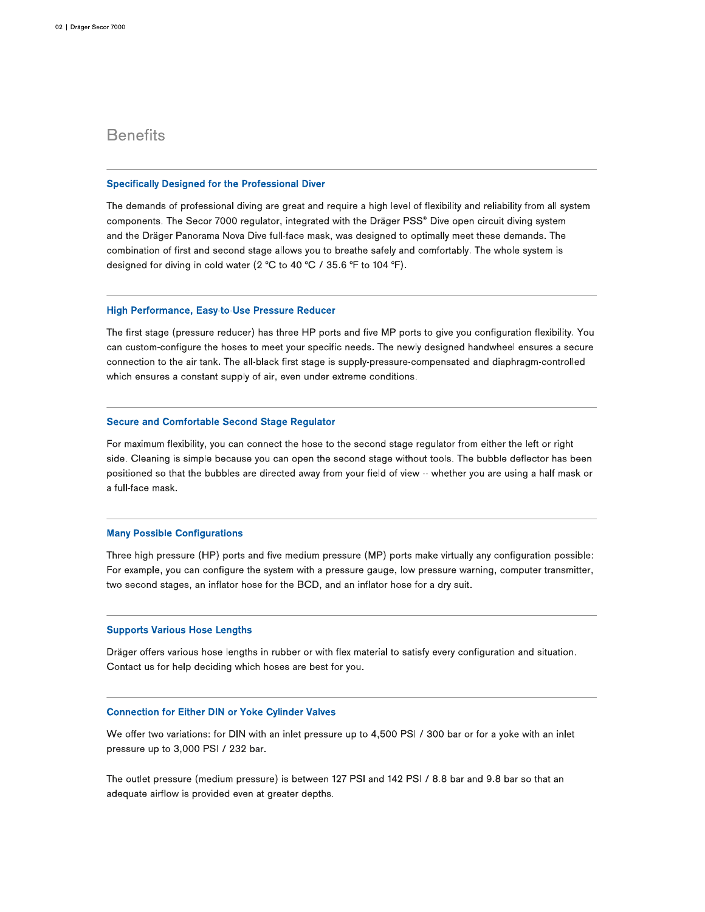# **Benefits**

### **Specifically Designed for the Professional Diver**

The demands of professional diving are great and require a high level of flexibility and reliability from all system components. The Secor 7000 regulator, integrated with the Dräger PSS® Dive open circuit diving system and the Dräger Panorama Nova Dive full-face mask, was designed to optimally meet these demands. The combination of first and second stage allows you to breathe safely and comfortably. The whole system is designed for diving in cold water (2 °C to 40 °C / 35.6 °F to 104 °F).

### High Performance, Easy-to-Use Pressure Reducer

The first stage (pressure reducer) has three HP ports and five MP ports to give you configuration flexibility. You can custom-configure the hoses to meet your specific needs. The newly designed handwheel ensures a secure connection to the air tank. The all-black first stage is supply-pressure-compensated and diaphragm-controlled which ensures a constant supply of air, even under extreme conditions.

#### **Secure and Comfortable Second Stage Regulator**

For maximum flexibility, you can connect the hose to the second stage regulator from either the left or right side. Cleaning is simple because you can open the second stage without tools. The bubble deflector has been positioned so that the bubbles are directed away from your field of view -- whether you are using a half mask or a full-face mask.

### **Many Possible Configurations**

Three high pressure (HP) ports and five medium pressure (MP) ports make virtually any configuration possible: For example, you can configure the system with a pressure gauge, low pressure warning, computer transmitter, two second stages, an inflator hose for the BCD, and an inflator hose for a dry suit.

#### **Supports Various Hose Lengths**

Dräger offers various hose lengths in rubber or with flex material to satisfy every configuration and situation. Contact us for help deciding which hoses are best for you.

## **Connection for Either DIN or Yoke Cylinder Valves**

We offer two variations: for DIN with an inlet pressure up to 4,500 PSI / 300 bar or for a yoke with an inlet pressure up to 3,000 PSI / 232 bar.

The outlet pressure (medium pressure) is between 127 PSI and 142 PSI / 8.8 bar and 9.8 bar so that an adequate airflow is provided even at greater depths.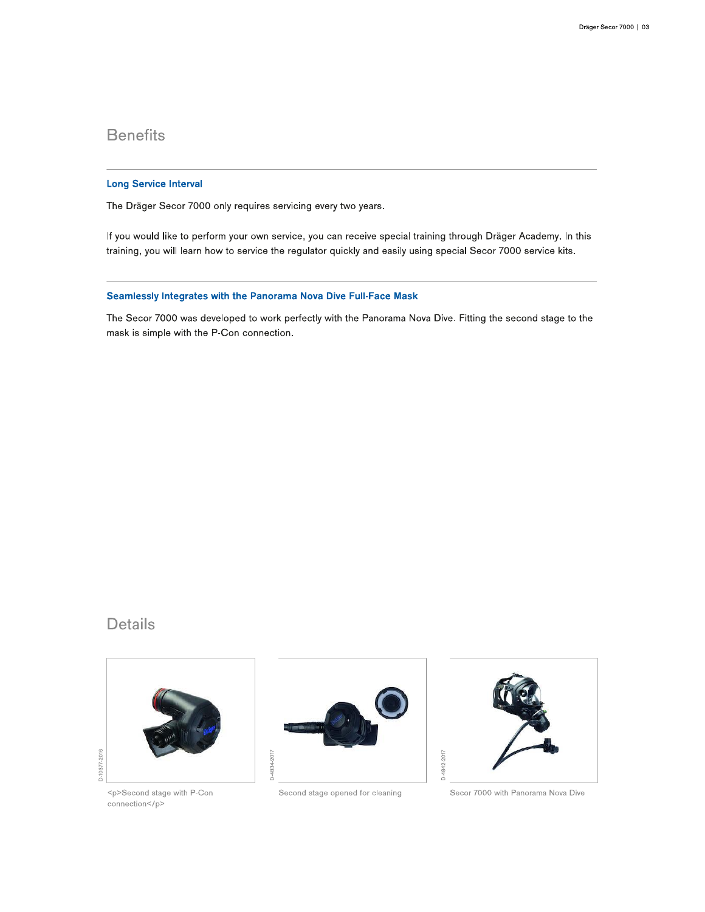# **Benefits**

## **Long Service Interval**

The Dräger Secor 7000 only requires servicing every two years.

If you would like to perform your own service, you can receive special training through Dräger Academy. In this training, you will learn how to service the regulator quickly and easily using special Secor 7000 service kits.

## Seamlessly Integrates with the Panorama Nova Dive Full-Face Mask

The Secor 7000 was developed to work perfectly with the Panorama Nova Dive. Fitting the second stage to the mask is simple with the P-Con connection.

# **Details**



<p>Second stage with P-Con connection</p>



Second stage opened for cleaning



Secor 7000 with Panorama Nova Dive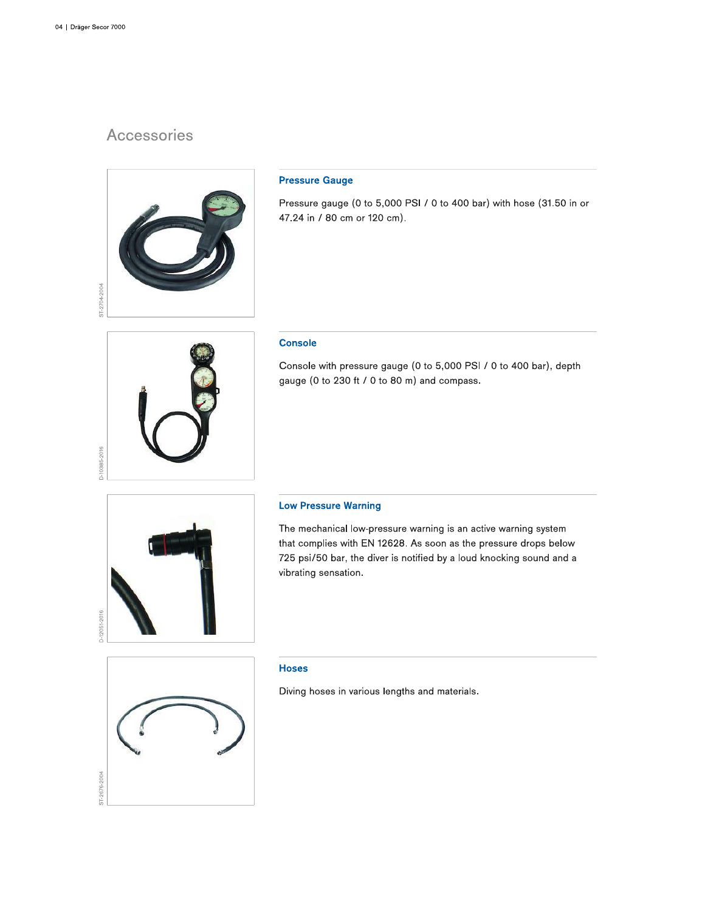# Accessories



## **Pressure Gauge**

Pressure gauge (0 to 5,000 PSI / 0 to 400 bar) with hose (31.50 in or 47.24 in / 80 cm or 120 cm).

## **Console**

Console with pressure gauge (0 to 5,000 PSI / 0 to 400 bar), depth gauge (0 to 230 ft / 0 to 80 m) and compass.



D-10385-2016

### **Low Pressure Warning**

The mechanical low-pressure warning is an active warning system that complies with EN 12628. As soon as the pressure drops below 725 psi/50 bar, the diver is notified by a loud knocking sound and a vibrating sensation.



### **Hoses**

Diving hoses in various lengths and materials.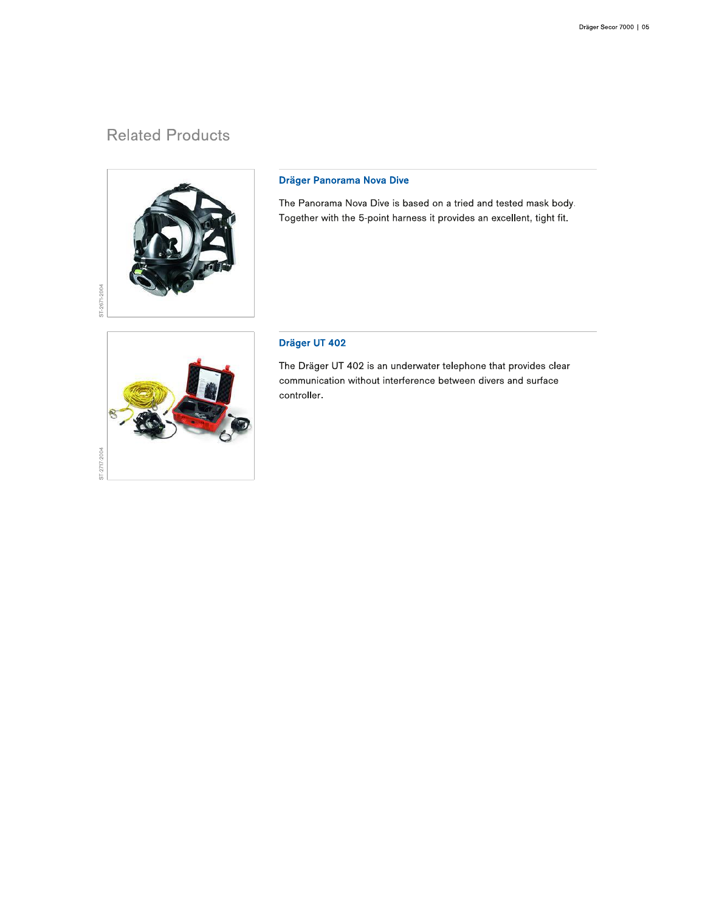# **Related Products**



# Dräger Panorama Nova Dive

The Panorama Nova Dive is based on a tried and tested mask body. Together with the 5-point harness it provides an excellent, tight fit.

# Dräger UT 402

The Dräger UT 402 is an underwater telephone that provides clear communication without interference between divers and surface controller.

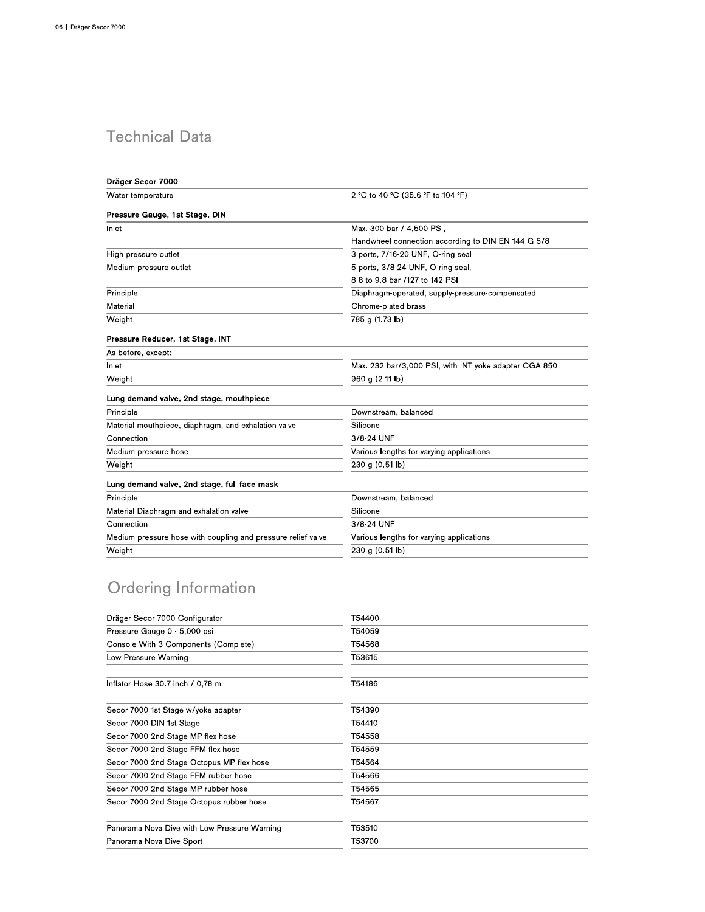# **Technical Data**

| Dräger Secor 7000                                            |                                                       |
|--------------------------------------------------------------|-------------------------------------------------------|
| Water temperature                                            | 2 °C to 40 °C (35.6 °F to 104 °F)                     |
| Pressure Gauge, 1st Stage, DIN                               |                                                       |
| Inlet                                                        | Max. 300 bar / 4,500 PSI,                             |
|                                                              | Handwheel connection according to DIN EN 144 G 5/8    |
| High pressure outlet                                         | 3 ports, 7/16-20 UNF, O-ring seal                     |
| Medium pressure outlet                                       | 5 ports, 3/8-24 UNF, O-ring seal,                     |
|                                                              | 8.8 to 9.8 bar /127 to 142 PSI                        |
| Principle                                                    | Diaphragm-operated, supply-pressure-compensated       |
| Material                                                     | Chrome-plated brass                                   |
| Weight                                                       | 785 g (1.73 lb)                                       |
| Pressure Reducer, 1st Stage, INT                             |                                                       |
| As before, except:                                           |                                                       |
| Inlet                                                        | Max. 232 bar/3,000 PSI, with INT yoke adapter CGA 850 |
| Weight                                                       | 960 g (2.11 lb)                                       |
| Lung demand valve, 2nd stage, mouthpiece                     |                                                       |
| Principle                                                    | Downstream, balanced                                  |
| Material mouthpiece, diaphragm, and exhalation valve         | Silicone                                              |
| Connection                                                   | 3/8-24 UNF                                            |
| Medium pressure hose                                         | Various lengths for varying applications              |
| Weight                                                       | 230 g (0.51 lb)                                       |
| Lung demand valve, 2nd stage, full-face mask                 |                                                       |
| Principle                                                    | Downstream, balanced                                  |
| Material Diaphragm and exhalation valve                      | Silicone                                              |
| Connection                                                   | 3/8-24 UNF                                            |
| Medium pressure hose with coupling and pressure relief valve | Various lengths for varying applications              |
| Weight                                                       | 230 g (0.51 lb)                                       |

# Ordering Information

| Dräger Secor 7000 Configurator               | T54400 |
|----------------------------------------------|--------|
| Pressure Gauge 0 - 5,000 psi                 | T54059 |
| Console With 3 Components (Complete)         | T54568 |
| Low Pressure Warning                         | T53615 |
| Inflator Hose 30.7 inch / 0,78 m             | T54186 |
| Secor 7000 1st Stage w/yoke adapter          | T54390 |
| Secor 7000 DIN 1st Stage                     | T54410 |
| Secor 7000 2nd Stage MP flex hose            | T54558 |
| Secor 7000 2nd Stage FFM flex hose           | T54559 |
| Secor 7000 2nd Stage Octopus MP flex hose    | T54564 |
| Secor 7000 2nd Stage FFM rubber hose         | T54566 |
| Secor 7000 2nd Stage MP rubber hose          | T54565 |
| Secor 7000 2nd Stage Octopus rubber hose     | T54567 |
| Panorama Nova Dive with Low Pressure Warning | T53510 |
| Panorama Nova Dive Sport                     | T53700 |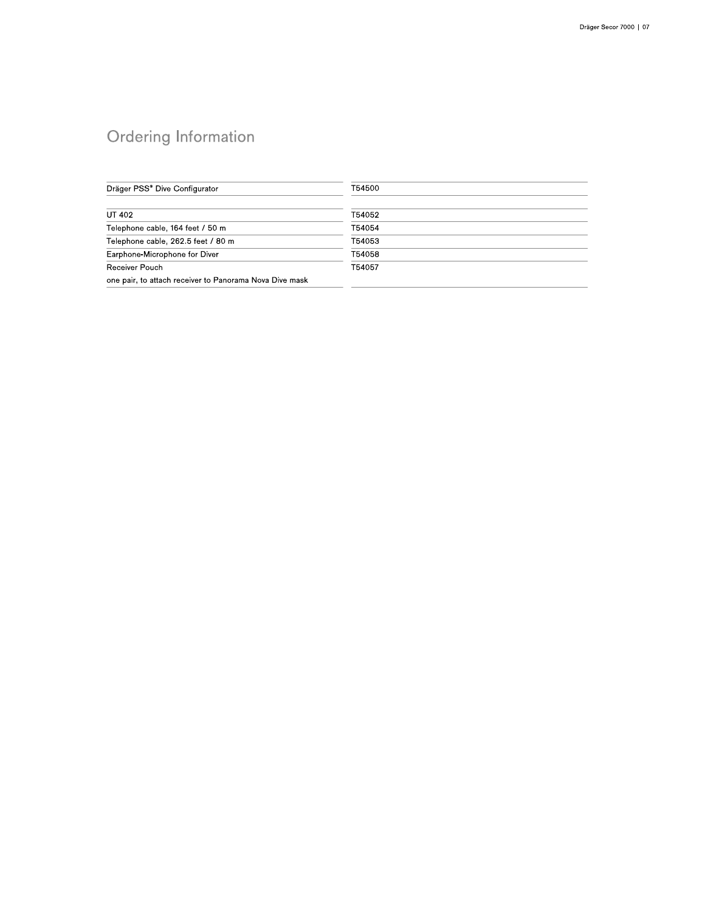# Ordering Information

| Dräger PSS® Dive Configurator                           | T54500 |
|---------------------------------------------------------|--------|
| UT 402                                                  | T54052 |
| Telephone cable, 164 feet / 50 m                        | T54054 |
| Telephone cable, 262.5 feet / 80 m                      | T54053 |
| Earphone-Microphone for Diver                           | T54058 |
| Receiver Pouch                                          | T54057 |
| one pair, to attach receiver to Panorama Nova Dive mask |        |